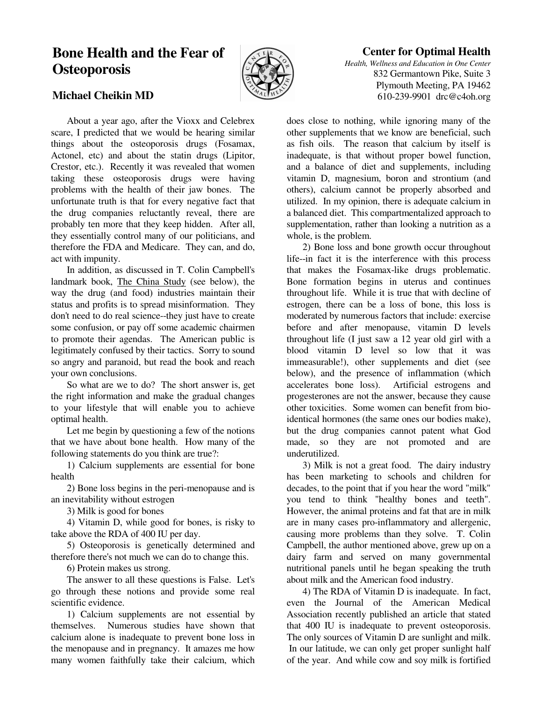# **Bone Health and the Fear of Osteoporosis**



## **Center for Optimal Health**

*Health, Wellness and Education in One Center* 832 Germantown Pike, Suite 3 Plymouth Meeting, PA 19462 610-239-9901 drc@c4oh.org

### **Michael Cheikin MD**

 About a year ago, after the Vioxx and Celebrex scare, I predicted that we would be hearing similar things about the osteoporosis drugs (Fosamax, Actonel, etc) and about the statin drugs (Lipitor, Crestor, etc.). Recently it was revealed that women taking these osteoporosis drugs were having problems with the health of their jaw bones. The unfortunate truth is that for every negative fact that the drug companies reluctantly reveal, there are probably ten more that they keep hidden. After all, they essentially control many of our politicians, and therefore the FDA and Medicare. They can, and do, act with impunity.

 In addition, as discussed in T. Colin Campbell's landmark book, The China Study (see below), the way the drug (and food) industries maintain their status and profits is to spread misinformation. They don't need to do real science--they just have to create some confusion, or pay off some academic chairmen to promote their agendas. The American public is legitimately confused by their tactics. Sorry to sound so angry and paranoid, but read the book and reach your own conclusions.

 So what are we to do? The short answer is, get the right information and make the gradual changes to your lifestyle that will enable you to achieve optimal health.

 Let me begin by questioning a few of the notions that we have about bone health. How many of the following statements do you think are true?:

 1) Calcium supplements are essential for bone health

 2) Bone loss begins in the peri-menopause and is an inevitability without estrogen

3) Milk is good for bones

 4) Vitamin D, while good for bones, is risky to take above the RDA of 400 IU per day.

 5) Osteoporosis is genetically determined and therefore there's not much we can do to change this.

6) Protein makes us strong.

 The answer to all these questions is False. Let's go through these notions and provide some real scientific evidence.

 1) Calcium supplements are not essential by themselves. Numerous studies have shown that calcium alone is inadequate to prevent bone loss in the menopause and in pregnancy. It amazes me how many women faithfully take their calcium, which

does close to nothing, while ignoring many of the other supplements that we know are beneficial, such as fish oils. The reason that calcium by itself is inadequate, is that without proper bowel function, and a balance of diet and supplements, including vitamin D, magnesium, boron and strontium (and others), calcium cannot be properly absorbed and utilized. In my opinion, there is adequate calcium in a balanced diet. This compartmentalized approach to supplementation, rather than looking a nutrition as a whole, is the problem.

 2) Bone loss and bone growth occur throughout life--in fact it is the interference with this process that makes the Fosamax-like drugs problematic. Bone formation begins in uterus and continues throughout life. While it is true that with decline of estrogen, there can be a loss of bone, this loss is moderated by numerous factors that include: exercise before and after menopause, vitamin D levels throughout life (I just saw a 12 year old girl with a blood vitamin D level so low that it was immeasurable!), other supplements and diet (see below), and the presence of inflammation (which accelerates bone loss). Artificial estrogens and progesterones are not the answer, because they cause other toxicities. Some women can benefit from bioidentical hormones (the same ones our bodies make), but the drug companies cannot patent what God made, so they are not promoted and are underutilized.

 3) Milk is not a great food. The dairy industry has been marketing to schools and children for decades, to the point that if you hear the word "milk" you tend to think "healthy bones and teeth". However, the animal proteins and fat that are in milk are in many cases pro-inflammatory and allergenic, causing more problems than they solve. T. Colin Campbell, the author mentioned above, grew up on a dairy farm and served on many governmental nutritional panels until he began speaking the truth about milk and the American food industry.

 4) The RDA of Vitamin D is inadequate. In fact, even the Journal of the American Medical Association recently published an article that stated that 400 IU is inadequate to prevent osteoporosis. The only sources of Vitamin D are sunlight and milk. In our latitude, we can only get proper sunlight half of the year. And while cow and soy milk is fortified